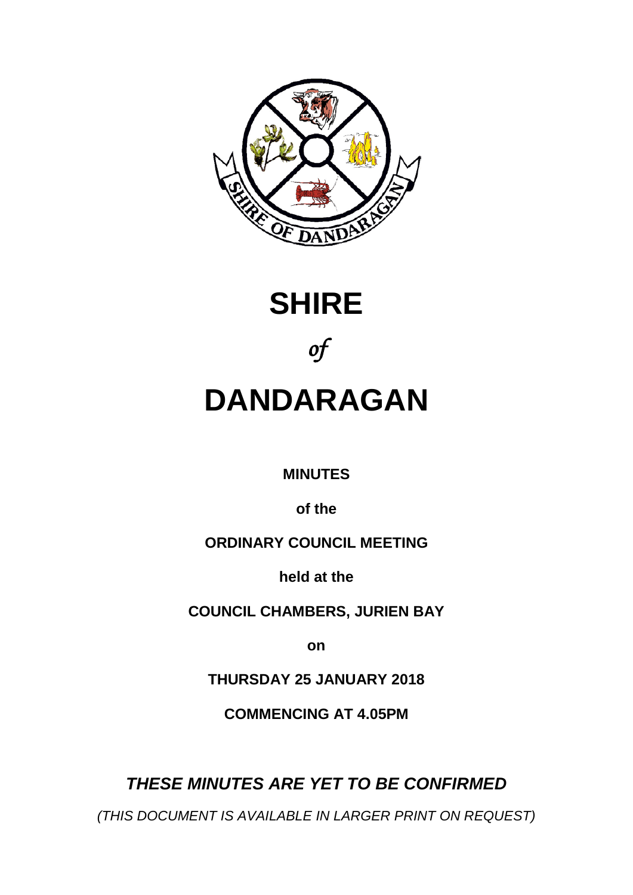





# **DANDARAGAN**

**MINUTES**

**of the**

# **ORDINARY COUNCIL MEETING**

**held at the**

**COUNCIL CHAMBERS, JURIEN BAY**

**on**

**THURSDAY 25 JANUARY 2018**

**COMMENCING AT 4.05PM** 

*(THIS DOCUMENT IS AVAILABLE IN LARGER PRINT ON REQUEST)*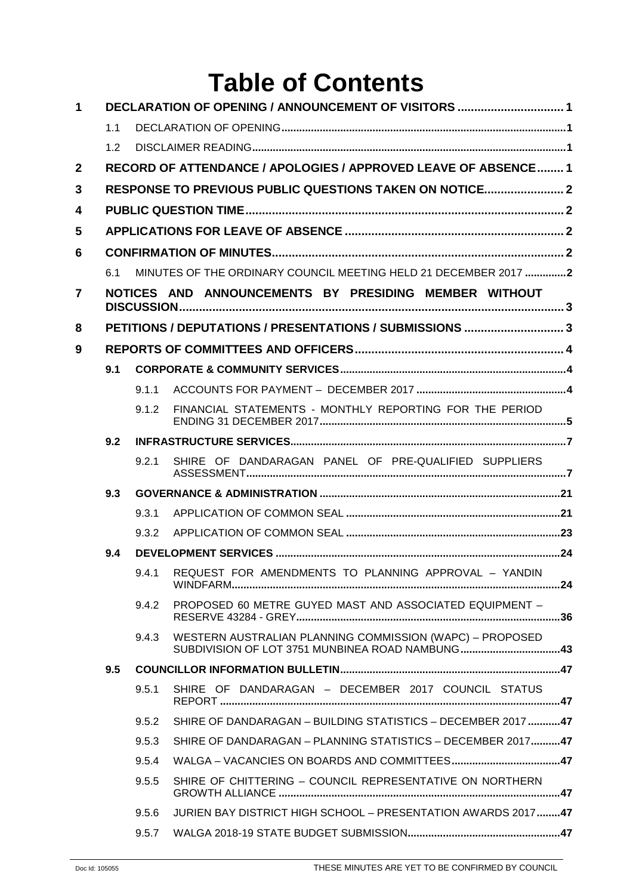# **Table of Contents**

| $\mathbf 1$    | DECLARATION OF OPENING / ANNOUNCEMENT OF VISITORS  1  |                                                                |                                                                                                             |  |  |  |  |
|----------------|-------------------------------------------------------|----------------------------------------------------------------|-------------------------------------------------------------------------------------------------------------|--|--|--|--|
|                | 1.1                                                   |                                                                |                                                                                                             |  |  |  |  |
|                | 1.2                                                   |                                                                |                                                                                                             |  |  |  |  |
| $\overline{2}$ |                                                       | RECORD OF ATTENDANCE / APOLOGIES / APPROVED LEAVE OF ABSENCE 1 |                                                                                                             |  |  |  |  |
| 3              |                                                       | RESPONSE TO PREVIOUS PUBLIC QUESTIONS TAKEN ON NOTICE 2        |                                                                                                             |  |  |  |  |
| 4              |                                                       |                                                                |                                                                                                             |  |  |  |  |
| 5              |                                                       |                                                                |                                                                                                             |  |  |  |  |
| 6              |                                                       |                                                                |                                                                                                             |  |  |  |  |
|                | 6.1                                                   |                                                                | MINUTES OF THE ORDINARY COUNCIL MEETING HELD 21 DECEMBER 2017 2                                             |  |  |  |  |
| $\overline{7}$ | NOTICES AND ANNOUNCEMENTS BY PRESIDING MEMBER WITHOUT |                                                                |                                                                                                             |  |  |  |  |
| 8              |                                                       | PETITIONS / DEPUTATIONS / PRESENTATIONS / SUBMISSIONS 3        |                                                                                                             |  |  |  |  |
| 9              |                                                       |                                                                |                                                                                                             |  |  |  |  |
|                | 9.1                                                   |                                                                |                                                                                                             |  |  |  |  |
|                |                                                       | 9.1.1                                                          |                                                                                                             |  |  |  |  |
|                |                                                       | 9.1.2                                                          | FINANCIAL STATEMENTS - MONTHLY REPORTING FOR THE PERIOD                                                     |  |  |  |  |
|                | 9.2                                                   |                                                                |                                                                                                             |  |  |  |  |
|                |                                                       | 9.2.1                                                          | SHIRE OF DANDARAGAN PANEL OF PRE-QUALIFIED SUPPLIERS                                                        |  |  |  |  |
|                | 9.3                                                   |                                                                |                                                                                                             |  |  |  |  |
|                |                                                       | 9.3.1                                                          |                                                                                                             |  |  |  |  |
|                |                                                       | 9.3.2                                                          |                                                                                                             |  |  |  |  |
|                | 9.4                                                   |                                                                |                                                                                                             |  |  |  |  |
|                |                                                       |                                                                | 9.4.1 REQUEST FOR AMENDMENTS TO PLANNING APPROVAL - YANDIN                                                  |  |  |  |  |
|                |                                                       | 9.4.2                                                          | PROPOSED 60 METRE GUYED MAST AND ASSOCIATED EQUIPMENT -                                                     |  |  |  |  |
|                |                                                       | 9.4.3                                                          | WESTERN AUSTRALIAN PLANNING COMMISSION (WAPC) - PROPOSED<br>SUBDIVISION OF LOT 3751 MUNBINEA ROAD NAMBUNG43 |  |  |  |  |
|                | 9.5                                                   |                                                                |                                                                                                             |  |  |  |  |
|                |                                                       | 9.5.1                                                          | SHIRE OF DANDARAGAN - DECEMBER 2017 COUNCIL STATUS                                                          |  |  |  |  |
|                |                                                       | 9.5.2                                                          | SHIRE OF DANDARAGAN - BUILDING STATISTICS - DECEMBER 2017 47                                                |  |  |  |  |
|                |                                                       | 9.5.3                                                          | SHIRE OF DANDARAGAN - PLANNING STATISTICS - DECEMBER 201747                                                 |  |  |  |  |
|                |                                                       | 9.5.4                                                          |                                                                                                             |  |  |  |  |
|                |                                                       | 9.5.5                                                          | SHIRE OF CHITTERING - COUNCIL REPRESENTATIVE ON NORTHERN                                                    |  |  |  |  |
|                |                                                       | 9.5.6                                                          | JURIEN BAY DISTRICT HIGH SCHOOL - PRESENTATION AWARDS 201747                                                |  |  |  |  |
|                |                                                       | 9.5.7                                                          |                                                                                                             |  |  |  |  |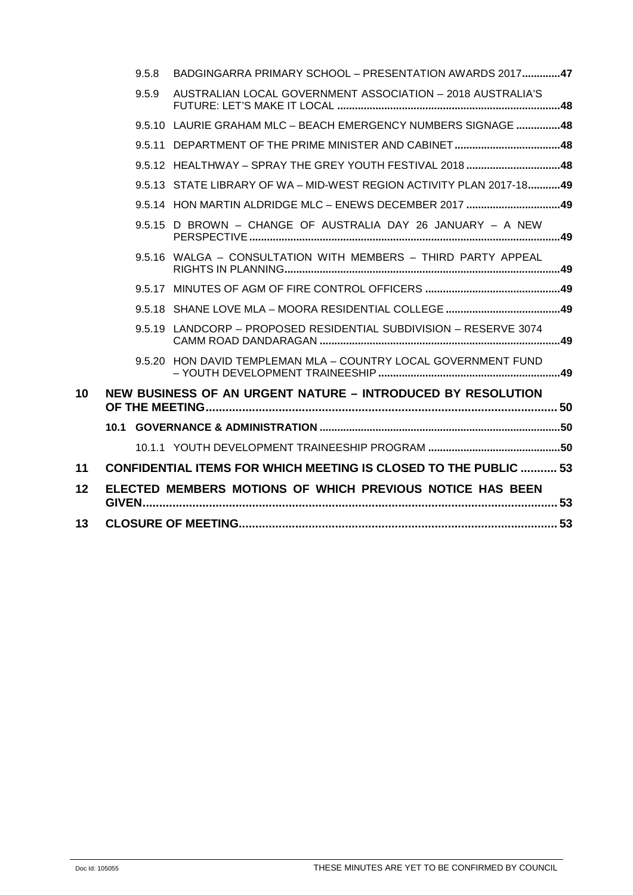|    | 9.5.8 | BADGINGARRA PRIMARY SCHOOL - PRESENTATION AWARDS 2017 47                |  |
|----|-------|-------------------------------------------------------------------------|--|
|    | 9.5.9 | AUSTRALIAN LOCAL GOVERNMENT ASSOCIATION - 2018 AUSTRALIA'S              |  |
|    |       | 9.5.10 LAURIE GRAHAM MLC - BEACH EMERGENCY NUMBERS SIGNAGE 48           |  |
|    |       | 9.5.11 DEPARTMENT OF THE PRIME MINISTER AND CABINET48                   |  |
|    |       | 9.5.12 HEALTHWAY - SPRAY THE GREY YOUTH FESTIVAL 2018 48                |  |
|    |       | 9.5.13 STATE LIBRARY OF WA - MID-WEST REGION ACTIVITY PLAN 2017-1849    |  |
|    |       | 9.5.14 HON MARTIN ALDRIDGE MLC - ENEWS DECEMBER 2017 49                 |  |
|    |       | 9.5.15 D BROWN - CHANGE OF AUSTRALIA DAY 26 JANUARY - A NEW             |  |
|    |       | 9.5.16 WALGA - CONSULTATION WITH MEMBERS - THIRD PARTY APPEAL           |  |
|    |       |                                                                         |  |
|    |       |                                                                         |  |
|    |       | 9.5.19 LANDCORP - PROPOSED RESIDENTIAL SUBDIVISION - RESERVE 3074       |  |
|    |       | 9.5.20 HON DAVID TEMPLEMAN MLA - COUNTRY LOCAL GOVERNMENT FUND          |  |
| 10 |       | NEW BUSINESS OF AN URGENT NATURE - INTRODUCED BY RESOLUTION             |  |
|    |       |                                                                         |  |
|    |       |                                                                         |  |
| 11 |       | <b>CONFIDENTIAL ITEMS FOR WHICH MEETING IS CLOSED TO THE PUBLIC  53</b> |  |
| 12 |       | ELECTED MEMBERS MOTIONS OF WHICH PREVIOUS NOTICE HAS BEEN               |  |
| 13 |       |                                                                         |  |
|    |       |                                                                         |  |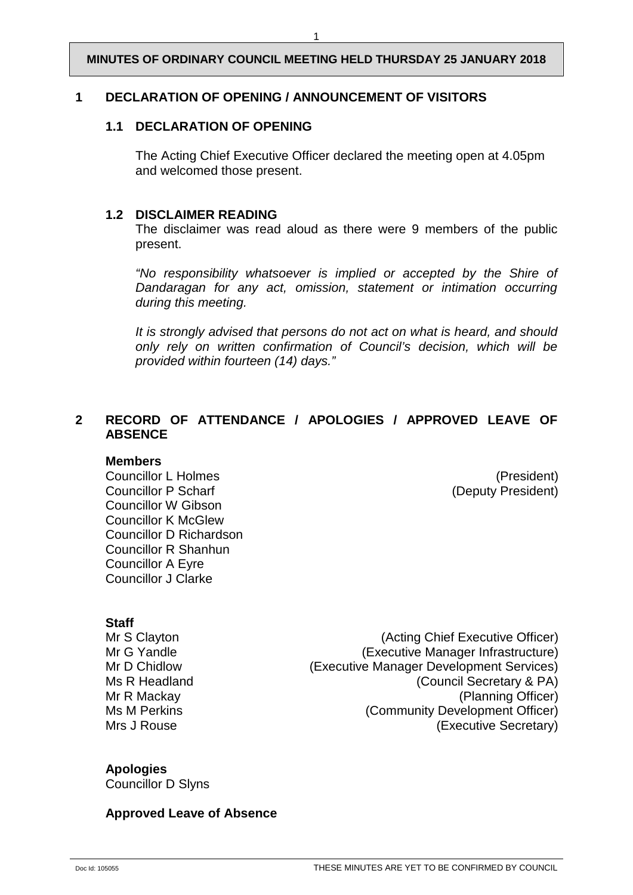#### <span id="page-3-1"></span><span id="page-3-0"></span>**1 DECLARATION OF OPENING / ANNOUNCEMENT OF VISITORS**

#### **1.1 DECLARATION OF OPENING**

The Acting Chief Executive Officer declared the meeting open at 4.05pm and welcomed those present.

#### <span id="page-3-2"></span>**1.2 DISCLAIMER READING**

The disclaimer was read aloud as there were 9 members of the public present.

*"No responsibility whatsoever is implied or accepted by the Shire of Dandaragan for any act, omission, statement or intimation occurring during this meeting.*

*It is strongly advised that persons do not act on what is heard, and should only rely on written confirmation of Council's decision, which will be provided within fourteen (14) days."*

# <span id="page-3-3"></span>**2 RECORD OF ATTENDANCE / APOLOGIES / APPROVED LEAVE OF ABSENCE**

#### **Members**

Councillor L Holmes<br>
Councillor P Scharf<br>
Councillor P Scharf

Councillor Councillor P Scharf

Councillor P Scharf

Councillor B Scharf

Councillor C Scharf

Councillor B Scharf

Councillor B Scharf Councillor W Gibson Councillor K McGlew Councillor D Richardson Councillor R Shanhun Councillor A Eyre Councillor J Clarke

(Deputy President)

**Staff**<br>Mr S Clavton

(Acting Chief Executive Officer) Mr G Yandle **(Executive Manager Infrastructure)** Mr D Chidlow (Executive Manager Development Services) Ms R Headland **Manufather (Council Secretary & PA)** Mr R Mackay (Planning Officer) Ms M Perkins (Community Development Officer) Mrs J Rouse **Mrs** J Rouse **CONSERVING CONSERVING** (Executive Secretary)

#### **Apologies**

Councillor D Slyns

#### **Approved Leave of Absence**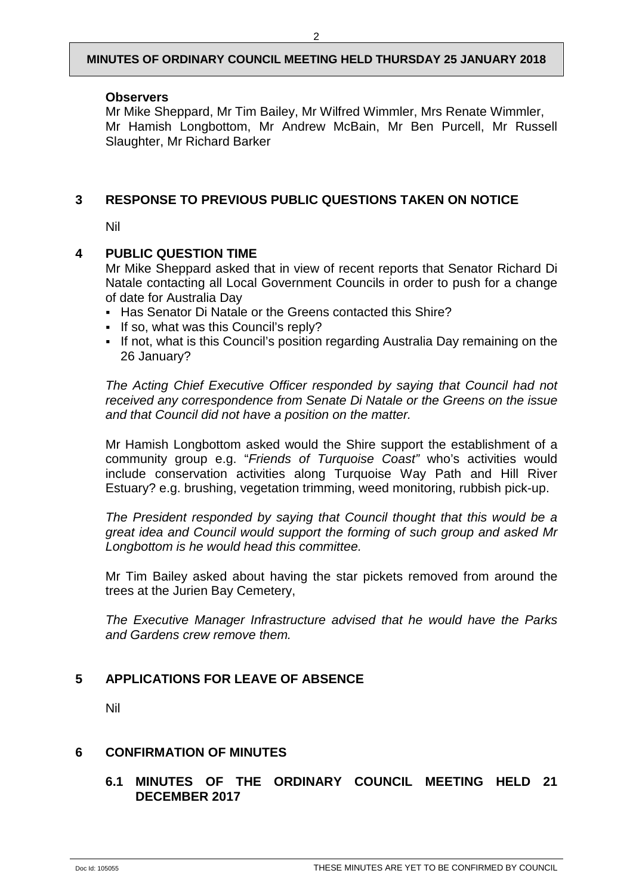#### **Observers**

Mr Mike Sheppard, Mr Tim Bailey, Mr Wilfred Wimmler, Mrs Renate Wimmler, Mr Hamish Longbottom, Mr Andrew McBain, Mr Ben Purcell, Mr Russell Slaughter, Mr Richard Barker

### <span id="page-4-0"></span>**3 RESPONSE TO PREVIOUS PUBLIC QUESTIONS TAKEN ON NOTICE**

Nil

#### <span id="page-4-1"></span>**4 PUBLIC QUESTION TIME**

Mr Mike Sheppard asked that in view of recent reports that Senator Richard Di Natale contacting all Local Government Councils in order to push for a change of date for Australia Day

- Has Senator Di Natale or the Greens contacted this Shire?
- If so, what was this Council's reply?
- If not, what is this Council's position regarding Australia Day remaining on the 26 January?

*The Acting Chief Executive Officer responded by saying that Council had not received any correspondence from Senate Di Natale or the Greens on the issue and that Council did not have a position on the matter.*

Mr Hamish Longbottom asked would the Shire support the establishment of a community group e.g. "*Friends of Turquoise Coast"* who's activities would include conservation activities along Turquoise Way Path and Hill River Estuary? e.g. brushing, vegetation trimming, weed monitoring, rubbish pick-up.

*The President responded by saying that Council thought that this would be a great idea and Council would support the forming of such group and asked Mr Longbottom is he would head this committee.*

Mr Tim Bailey asked about having the star pickets removed from around the trees at the Jurien Bay Cemetery,

*The Executive Manager Infrastructure advised that he would have the Parks and Gardens crew remove them.*

# <span id="page-4-2"></span>**5 APPLICATIONS FOR LEAVE OF ABSENCE**

Nil

#### <span id="page-4-4"></span><span id="page-4-3"></span>**6 CONFIRMATION OF MINUTES**

# **6.1 MINUTES OF THE ORDINARY COUNCIL MEETING HELD 21 DECEMBER 2017**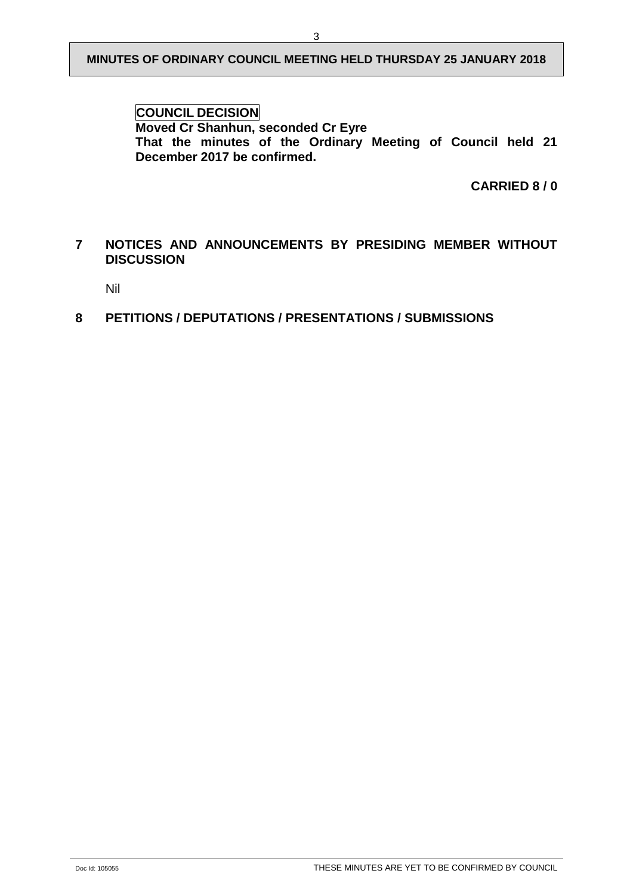**COUNCIL DECISION Moved Cr Shanhun, seconded Cr Eyre That the minutes of the Ordinary Meeting of Council held 21 December 2017 be confirmed.** 

**CARRIED 8 / 0** 

# <span id="page-5-0"></span>**7 NOTICES AND ANNOUNCEMENTS BY PRESIDING MEMBER WITHOUT DISCUSSION**

Nil

# <span id="page-5-1"></span>**8 PETITIONS / DEPUTATIONS / PRESENTATIONS / SUBMISSIONS**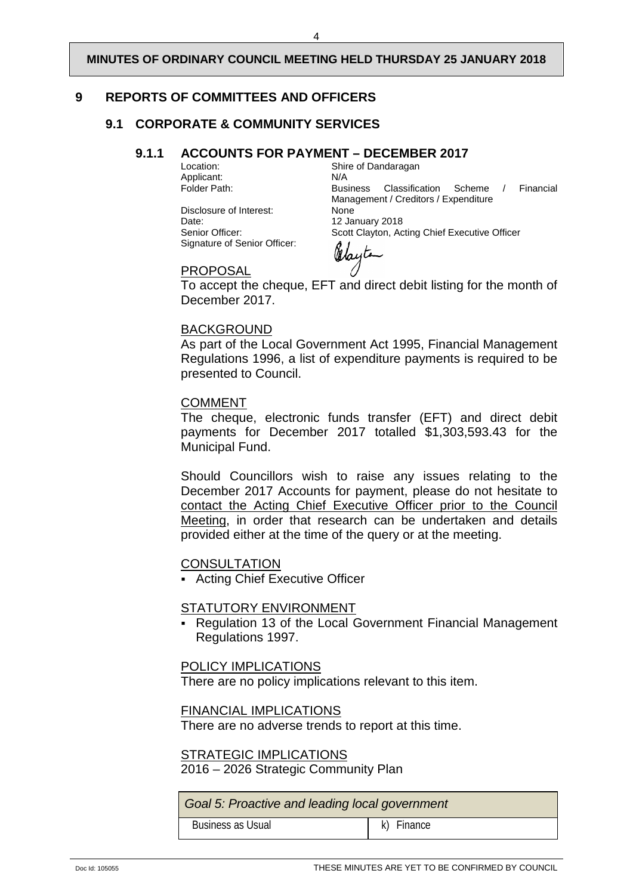# <span id="page-6-1"></span><span id="page-6-0"></span>**9 REPORTS OF COMMITTEES AND OFFICERS**

# <span id="page-6-2"></span>**9.1 CORPORATE & COMMUNITY SERVICES**

# **9.1.1 ACCOUNTS FOR PAYMENT – DECEMBER 2017**<br>Shire of Dandaragan

Applicant:<br>Folder Path:

Disclosure of Interest:<br>Date: Date: 12 January 2018<br>
Senior Officer: 12 Scott Clavton. Accord Signature of Senior Officer:

Shire of Dandaragan<br>N/A Business Classification Scheme / Financial Management / Creditors / Expenditure<br>None Scott Clayton, Acting Chief Executive Officer

Odayte

PROPOSAL

To accept the cheque, EFT and direct debit listing for the month of December 2017.

#### BACKGROUND

As part of the Local Government Act 1995, Financial Management Regulations 1996, a list of expenditure payments is required to be presented to Council.

#### COMMENT

The cheque, electronic funds transfer (EFT) and direct debit payments for December 2017 totalled \$1,303,593.43 for the Municipal Fund.

Should Councillors wish to raise any issues relating to the December 2017 Accounts for payment, please do not hesitate to contact the Acting Chief Executive Officer prior to the Council Meeting, in order that research can be undertaken and details provided either at the time of the query or at the meeting.

# **CONSULTATION**

Acting Chief Executive Officer

#### STATUTORY ENVIRONMENT

 Regulation 13 of the Local Government Financial Management Regulations 1997.

#### POLICY IMPLICATIONS

There are no policy implications relevant to this item.

FINANCIAL IMPLICATIONS

There are no adverse trends to report at this time.

#### STRATEGIC IMPLICATIONS

2016 – 2026 Strategic Community Plan

*Goal 5: Proactive and leading local government* 

Doc Id: 105055 CONFIRMED BY COUNCIL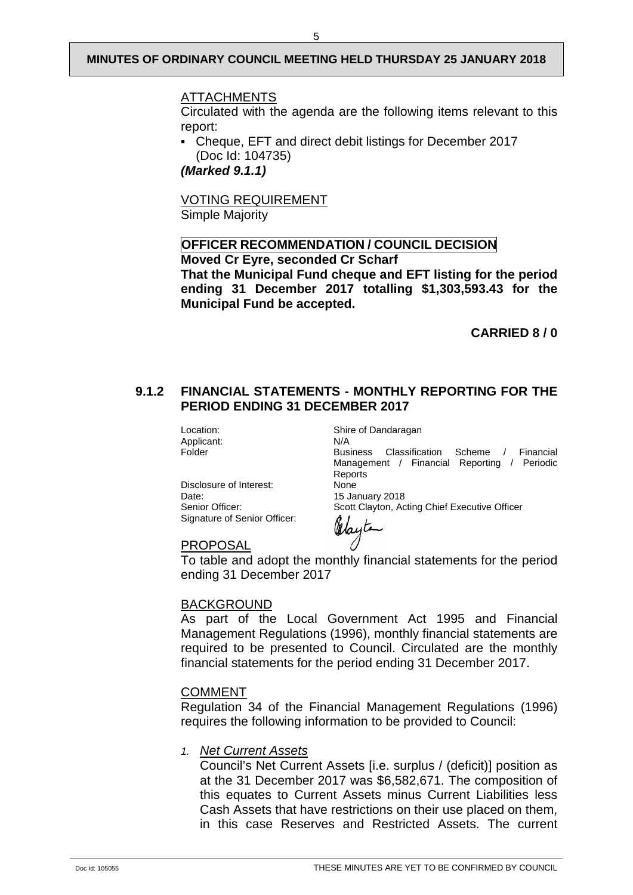#### ATTACHMENTS

Circulated with the agenda are the following items relevant to this report:

 Cheque, EFT and direct debit listings for December 2017 (Doc Id: 104735)

*(Marked 9.1.1)*

VOTING REQUIREMENT

Simple Majority

#### **OFFICER RECOMMENDATION / COUNCIL DECISION Moved Cr Eyre, seconded Cr Scharf**

**That the Municipal Fund cheque and EFT listing for the period ending 31 December 2017 totalling \$1,303,593.43 for the Municipal Fund be accepted.**

**CARRIED 8 / 0** 

#### <span id="page-7-0"></span>**9.1.2 FINANCIAL STATEMENTS - MONTHLY REPORTING FOR THE PERIOD ENDING 31 DECEMBER 2017**

Applicant: N/A<br>Folder Bus

Location: Shire of Dandaragan

Business Classification Scheme / Financial Management / Financial Reporting / Periodic Reports<br>None

Scott Clayton, Acting Chief Executive Officer

Disclosure of Interest:<br>Date: Date: 15 January 2018<br>
Senior Officer: 15 Scott Clayton, Ac Signature of Senior Officer:

Wayte

PROPOSAL

To table and adopt the monthly financial statements for the period ending 31 December 2017

#### BACKGROUND

As part of the Local Government Act 1995 and Financial Management Regulations (1996), monthly financial statements are required to be presented to Council. Circulated are the monthly financial statements for the period ending 31 December 2017.

#### COMMENT

Regulation 34 of the Financial Management Regulations (1996) requires the following information to be provided to Council:

#### *1. Net Current Assets*

Council's Net Current Assets [i.e. surplus / (deficit)] position as at the 31 December 2017 was \$6,582,671. The composition of this equates to Current Assets minus Current Liabilities less Cash Assets that have restrictions on their use placed on them, in this case Reserves and Restricted Assets. The current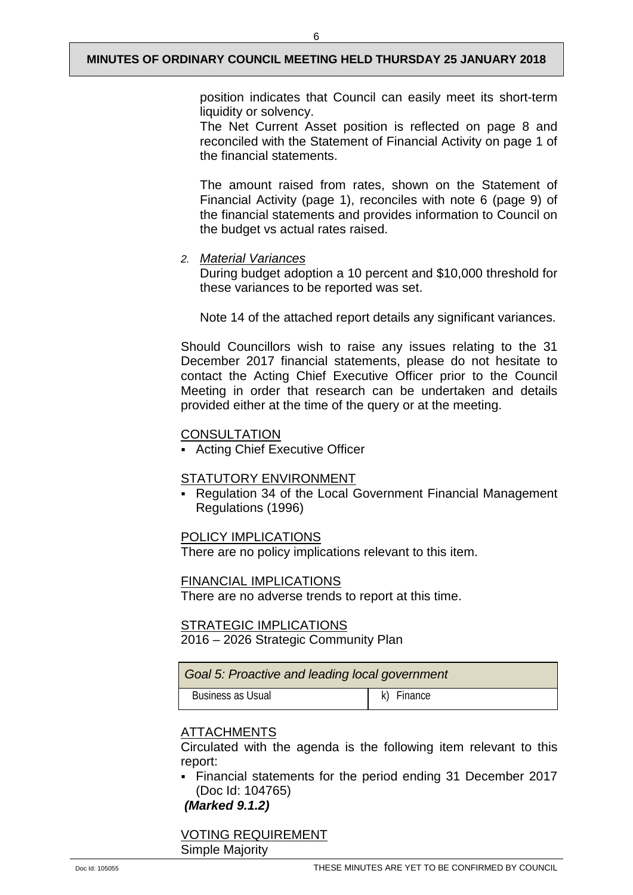6

The Net Current Asset position is reflected on page 8 and reconciled with the Statement of Financial Activity on page 1 of the financial statements.

The amount raised from rates, shown on the Statement of Financial Activity (page 1), reconciles with note 6 (page 9) of the financial statements and provides information to Council on the budget vs actual rates raised.

# *2. Material Variances*

During budget adoption a 10 percent and \$10,000 threshold for these variances to be reported was set.

Note 14 of the attached report details any significant variances.

Should Councillors wish to raise any issues relating to the 31 December 2017 financial statements, please do not hesitate to contact the Acting Chief Executive Officer prior to the Council Meeting in order that research can be undertaken and details provided either at the time of the query or at the meeting.

# **CONSULTATION**

Acting Chief Executive Officer

# STATUTORY ENVIRONMENT

 Regulation 34 of the Local Government Financial Management Regulations (1996)

# POLICY IMPLICATIONS

There are no policy implications relevant to this item.

# FINANCIAL IMPLICATIONS

There are no adverse trends to report at this time.

# STRATEGIC IMPLICATIONS

2016 – 2026 Strategic Community Plan

| Goal 5: Proactive and leading local government |            |  |  |  |
|------------------------------------------------|------------|--|--|--|
| Business as Usual                              | k) Finance |  |  |  |

# ATTACHMENTS

Circulated with the agenda is the following item relevant to this report:

 Financial statements for the period ending 31 December 2017 (Doc Id: 104765)

*(Marked 9.1.2)*

VOTING REQUIREMENT Simple Majority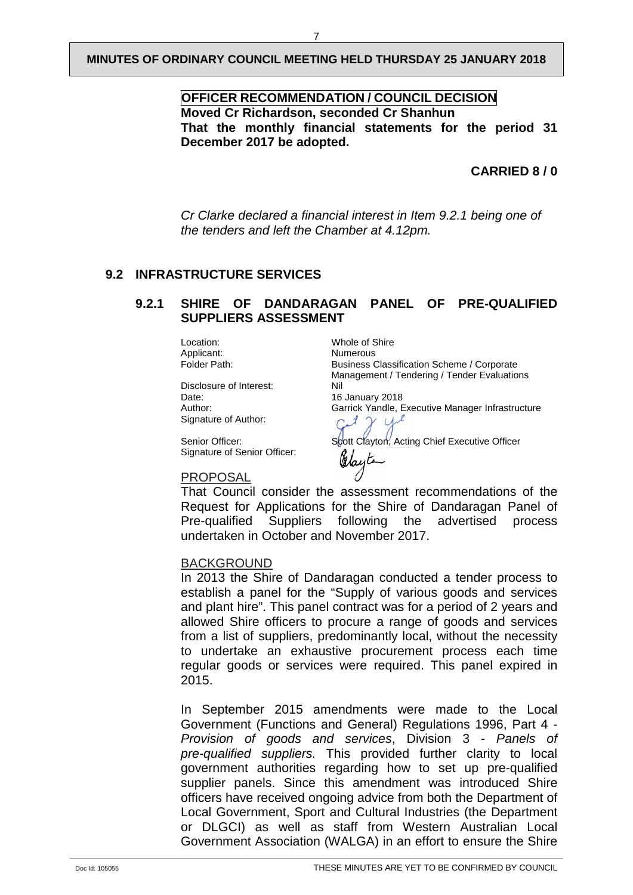# **OFFICER RECOMMENDATION / COUNCIL DECISION Moved Cr Richardson, seconded Cr Shanhun That the monthly financial statements for the period 31 December 2017 be adopted.**

# **CARRIED 8 / 0**

*Cr Clarke declared a financial interest in Item 9.2.1 being one of the tenders and left the Chamber at 4.12pm.* 

#### <span id="page-9-1"></span><span id="page-9-0"></span>**9.2 INFRASTRUCTURE SERVICES**

#### **9.2.1 SHIRE OF DANDARAGAN PANEL OF PRE-QUALIFIED SUPPLIERS ASSESSMENT**

Applicant:<br>Folder Path:

Disclosure of Interest: Nil<br>Date: 16 Date: 16 January 2018<br>Author: 16 January 2018<br>Garrick Yandle, E Signature of Author:

Signature of Senior Officer:

Location: Whole of Shire<br>Applicant: Numerous Business Classification Scheme / Corporate Management / Tendering / Tender Evaluations Garrick Yandle, Executive Manager Infrastructure  $\sqrt{ }$ 

Senior Officer: Scott Clayton, Acting Chief Executive Officer

#### PROPOSAL

That Council consider the assessment recommendations of the Request for Applications for the Shire of Dandaragan Panel of Pre-qualified Suppliers following the advertised process undertaken in October and November 2017.

Olayta

#### BACKGROUND

In 2013 the Shire of Dandaragan conducted a tender process to establish a panel for the "Supply of various goods and services and plant hire". This panel contract was for a period of 2 years and allowed Shire officers to procure a range of goods and services from a list of suppliers, predominantly local, without the necessity to undertake an exhaustive procurement process each time regular goods or services were required. This panel expired in 2015.

In September 2015 amendments were made to the Local Government (Functions and General) Regulations 1996, Part 4 - *Provision of goods and services*, Division 3 - *Panels of pre-qualified suppliers.* This provided further clarity to local government authorities regarding how to set up pre-qualified supplier panels. Since this amendment was introduced Shire officers have received ongoing advice from both the Department of Local Government, Sport and Cultural Industries (the Department or DLGCI) as well as staff from Western Australian Local Government Association (WALGA) in an effort to ensure the Shire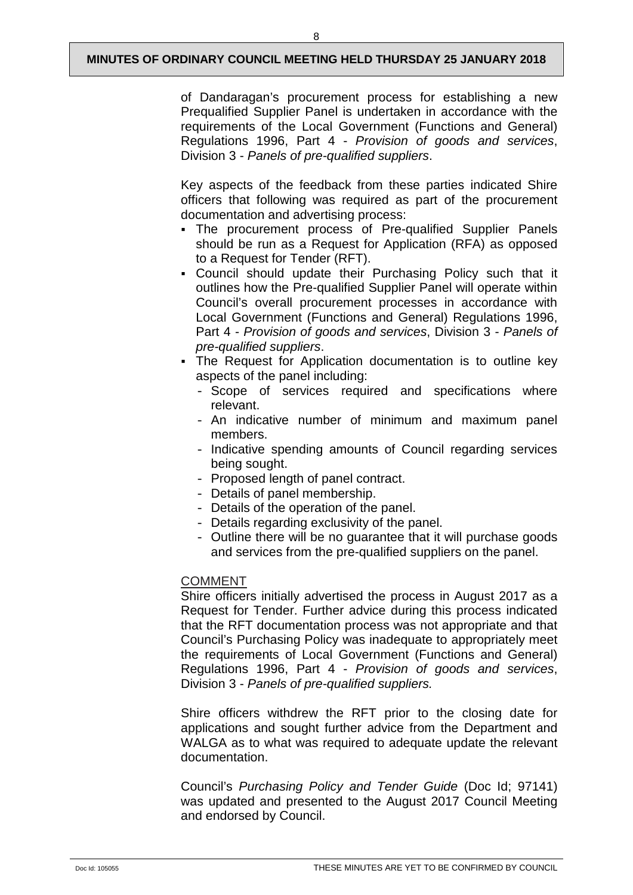of Dandaragan's procurement process for establishing a new Prequalified Supplier Panel is undertaken in accordance with the requirements of the Local Government (Functions and General) Regulations 1996, Part 4 - *Provision of goods and services*, Division 3 - *Panels of pre-qualified suppliers*.

Key aspects of the feedback from these parties indicated Shire officers that following was required as part of the procurement documentation and advertising process:

- The procurement process of Pre-qualified Supplier Panels should be run as a Request for Application (RFA) as opposed to a Request for Tender (RFT).
- Council should update their Purchasing Policy such that it outlines how the Pre-qualified Supplier Panel will operate within Council's overall procurement processes in accordance with Local Government (Functions and General) Regulations 1996, Part 4 - *Provision of goods and services*, Division 3 - *Panels of pre-qualified suppliers*.
- The Request for Application documentation is to outline key aspects of the panel including:
	- Scope of services required and specifications where relevant.
	- An indicative number of minimum and maximum panel members.
	- Indicative spending amounts of Council regarding services being sought.
	- Proposed length of panel contract.
	- Details of panel membership.
	- Details of the operation of the panel.
	- Details regarding exclusivity of the panel.
	- Outline there will be no guarantee that it will purchase goods and services from the pre-qualified suppliers on the panel.

# COMMENT

Shire officers initially advertised the process in August 2017 as a Request for Tender. Further advice during this process indicated that the RFT documentation process was not appropriate and that Council's Purchasing Policy was inadequate to appropriately meet the requirements of Local Government (Functions and General) Regulations 1996, Part 4 - *Provision of goods and services*, Division 3 - *Panels of pre-qualified suppliers.*

Shire officers withdrew the RFT prior to the closing date for applications and sought further advice from the Department and WALGA as to what was required to adequate update the relevant documentation.

Council's *Purchasing Policy and Tender Guide* (Doc Id; 97141) was updated and presented to the August 2017 Council Meeting and endorsed by Council.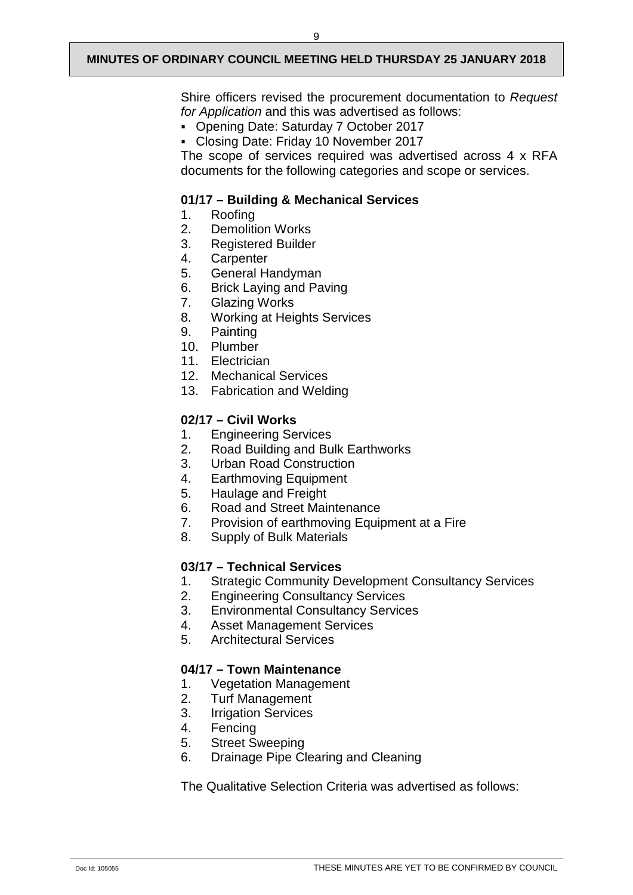Shire officers revised the procurement documentation to *Request for Application* and this was advertised as follows:

- Opening Date: Saturday 7 October 2017
- Closing Date: Friday 10 November 2017

The scope of services required was advertised across 4 x RFA documents for the following categories and scope or services.

#### **01/17 – Building & Mechanical Services**

- 1. Roofing<br>2. Demoliti
- 2. Demolition Works<br>3. Registered Builder
- 3. Registered Builder<br>4. Carpenter
- 
- 4. Carpenter<br>5. General H 5. General Handyman
- 6. Brick Laying and Paving
- 7. Glazing Works
- 8. Working at Heights Services<br>9. Painting
- **Painting**
- 10. Plumber
- 11. Electrician
- 12. Mechanical Services
- 13. Fabrication and Welding

# **02/17 – Civil Works**

- 1. Engineering Services<br>2. Road Building and Bu
- 2. Road Building and Bulk Earthworks
- 3. Urban Road Construction
- 4. Earthmoving Equipment
- 5. Haulage and Freight
- 6. Road and Street Maintenance
- 7. Provision of earthmoving Equipment at a Fire
- 8. Supply of Bulk Materials

# **03/17 – Technical Services**

- 1. Strategic Community Development Consultancy Services
- 2. Engineering Consultancy Services
- 3. Environmental Consultancy Services<br>4. Asset Management Services
- 4. Asset Management Services
- 5. Architectural Services

# **04/17 – Town Maintenance**

- 1. Vegetation Management
- 2. Turf Management
- 3. Irrigation Services
- 4. Fencing<br>5. Street St
- Street Sweeping
- 6. Drainage Pipe Clearing and Cleaning

The Qualitative Selection Criteria was advertised as follows: